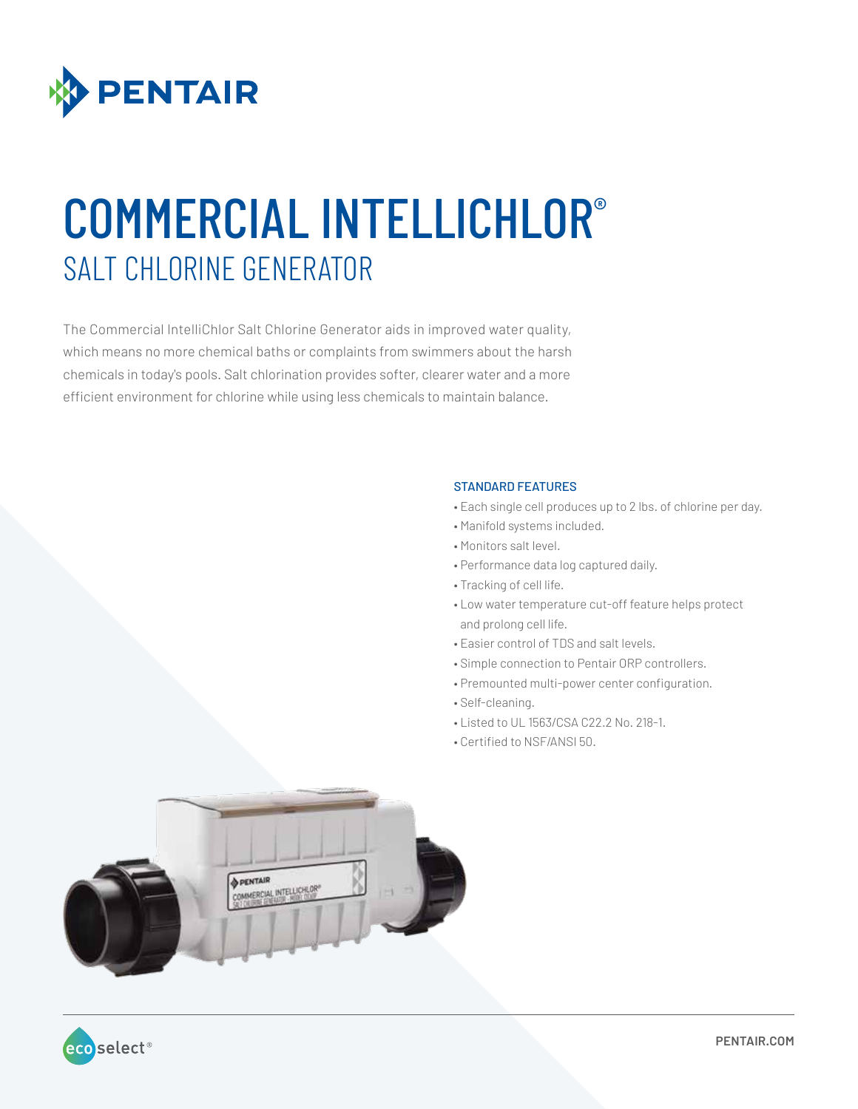

# COMMERCIAL INTELLICHLOR® SALT CHLORINE GENERATOR

The Commercial IntelliChlor Salt Chlorine Generator aids in improved water quality, which means no more chemical baths or complaints from swimmers about the harsh chemicals in today's pools. Salt chlorination provides softer, clearer water and a more efficient environment for chlorine while using less chemicals to maintain balance.

#### STANDARD FEATURES

- Each single cell produces up to 2 lbs. of chlorine per day.
- Manifold systems included.
- Monitors salt level.
- Performance data log captured daily.
- Tracking of cell life.
- Low water temperature cut-off feature helps protect and prolong cell life.
- Easier control of TDS and salt levels.
- Simple connection to Pentair ORP controllers.
- Premounted multi-power center configuration.
- Self-cleaning.
- Listed to UL 1563/CSA C22.2 No. 218-1.
- Certified to NSF/ANSI 50.